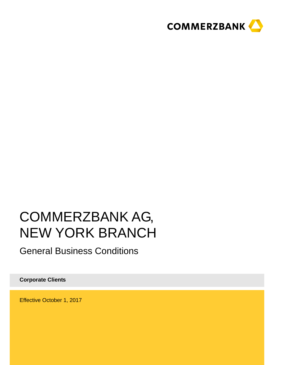

# COMMERZBANK AG, NEW YORK BRANCH

General Business Conditions

**Corporate Clients** 

Effective October 1, 2017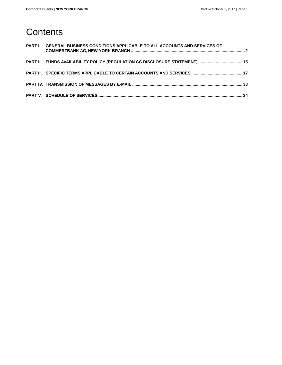# **Contents**

| PART I. GENERAL BUSINESS CONDITIONS APPLICABLE TO ALL ACCOUNTS AND SERVICES OF |  |
|--------------------------------------------------------------------------------|--|
| PART II. FUNDS AVAILABILITY POLICY (REGULATION CC DISCLOSURE STATEMENT)  15    |  |
|                                                                                |  |
|                                                                                |  |
|                                                                                |  |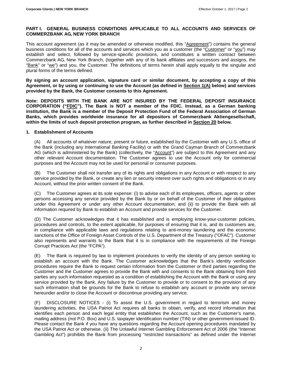#### **PART I. GENERAL BUSINESS CONDITIONS APPLICABLE TO ALL ACCOUNTS AND SERVICES OF COMMERZBANK AG, NEW YORK BRANCH**

This account agreement (as it may be amended or otherwise modified, this "Agreement") contains the general business conditions for all of the accounts and services which you as a customer (the "Customer" or "you") may establish and select, followed by service-specific provisions, and constitutes a written contract between Commerzbank AG, New York Branch, (together with any of its bank affiliates and successors and assigns, the "Bank" or "we") and you, the Customer. The definitions of terms herein shall apply equally to the singular and plural forms of the terms defined.

**By signing an account application, signature card or similar document, by accepting a copy of this Agreement, or by using or continuing to use the Account (as defined in Section 1(A) below) and services provided by the Bank, the Customer consents to this Agreement.**

**Note: DEPOSITS WITH THE BANK ARE NOT INSURED BY THE FEDERAL DEPOSIT INSURANCE CORPORATION ("FDIC"). The Bank is NOT a member of the FDIC. Instead, as a German banking institution, the Bank is a member of the Deposit Protection Fund of the Federal Association of German Banks, which provides worldwide insurance for all depositors of Commerzbank Aktiengesellschaft, within the limits of such deposit protection program, as further described in Section 20 below.** 

#### **1. Establishment of Accounts**

(A) All accounts of whatever nature, present or future, established by the Customer with any U.S. office of the Bank (including any International Banking Facility) or with the Grand Cayman Branch of Commerzbank AG (which is administered by the Bank) (collectively, the "Account") are subject to this Agreement and any other relevant Account documentation. The Customer agrees to use the Account only for commercial purposes and the Account may not be used for personal or consumer purposes.

(B) The Customer shall not transfer any of its rights and obligations in any Account or with respect to any service provided by the Bank, or create any lien or security interest over such rights and obligations or in any Account, without the prior written consent of the Bank.

(C) The Customer agrees at its sole expense: (i) to advise each of its employees, officers, agents or other persons accessing any service provided by the Bank by or on behalf of the Customer of their obligations under this Agreement or under any other Account documentation; and (ii) to provide the Bank with all information required by Bank to establish an Account and provide services for the Customer.

(D) The Customer acknowledges that it has established and is employing know-your-customer policies, procedures and controls, to the extent applicable, for purposes of ensuring that it is, and its customers are, in compliance with applicable laws and regulations relating to anti-money laundering and the economic sanctions of the Office of Foreign Asset Controls of the U.S. Department of the Treasury ("OFAC"). Customer also represents and warrants to the Bank that it is in compliance with the requirements of the Foreign Corrupt Practices Act (the "FCPA").

(E) The Bank is required by law to implement procedures to verify the identity of any person seeking to establish an account with the Bank. The Customer acknowledges that the Bank's identity verification procedures require the Bank to request certain information from the Customer or third parties regarding the Customer and the Customer agrees to provide the Bank with and consents to the Bank obtaining from third parties any such information requested as a condition of establishing the Account with the Bank or using any service provided by the Bank. Any failure by the Customer to provide or to consent to the provision of any such information shall be grounds for the Bank to refuse to establish any account or provide any service hereunder and/or to close the Account or discontinue providing any service.

(F) DISCLOSURE NOTICES - (i) To assist the U.S. government in regard to terrorism and money laundering activities, the USA Patriot Act requires all banks to obtain, verify, and record information that identifies each person and each legal entity that establishes the Account, such as the Customer's name, mailing address (not P.O. Box) and U.S. taxpayer identification number (TIN) or other government-issued ID. Please contact the Bank if you have any questions regarding the Account opening procedures mandated by the USA Patriot Act or otherwise. (ii) The Unlawful Internet Gambling Enforcement Act of 2006 (the "Internet Gambling Act") prohibits the Bank from processing "restricted transactions" as defined under the Internet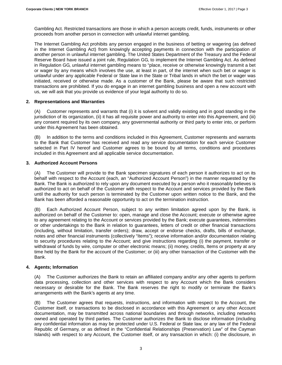Gambling Act. Restricted transactions are those in which a person accepts credit, funds, instruments or other proceeds from another person in connection with unlawful internet gambling.

The Internet Gambling Act prohibits any person engaged in the business of betting or wagering (as defined in the Internet Gambling Act) from knowingly accepting payments in connection with the participation of another person in unlawful internet gambling. The United States Department of the Treasury and the Federal Reserve Board have issued a joint rule, Regulation GG, to implement the Internet Gambling Act. As defined in Regulation GG, unlawful internet gambling means to "place, receive or otherwise knowingly transmit a bet or wager by any means which involves the use, at least in part, of the internet when such bet or wager is unlawful under any applicable Federal or State law in the State or Tribal lands in which the bet or wager was initiated, received or otherwise made. As a customer of the Bank, please be aware that such restricted transactions are prohibited. If you do engage in an internet gambling business and open a new account with us, we will ask that you provide us evidence of your legal authority to do so.

#### **2. Representations and Warranties**

(A) Customer represents and warrants that (i) it is solvent and validly existing and in good standing in the jurisdiction of its organization, (ii) it has all requisite power and authority to enter into this Agreement, and (iii) any consent required by its own company, any governmental authority or third party to enter into, or perform under this Agreement has been obtained.

In addition to the terms and conditions included in this Agreement, Customer represents and warrants to the Bank that Customer has received and read any service documentation for each service Customer selected in Part IV hereof and Customer agrees to be bound by all terms, conditions and procedures included in this Agreement and all applicable service documentation.

#### **3. Authorized Account Persons**

(A) The Customer will provide to the Bank specimen signatures of each person it authorizes to act on its behalf with respect to the Account (each, an "Authorized Account Person") in the manner requested by the Bank. The Bank is authorized to rely upon any document executed by a person who it reasonably believes is authorized to act on behalf of the Customer with respect to the Account and services provided by the Bank until the authority for such person is terminated by the Customer upon written notice to the Bank, and the Bank has been afforded a reasonable opportunity to act on the termination instruction.

(B) Each Authorized Account Person, subject to any written limitation agreed upon by the Bank, is authorized on behalf of the Customer to: open, manage and close the Account; execute or otherwise agree to any agreement relating to the Account or services provided by the Bank; execute guarantees, indemnities or other undertakings to the Bank in relation to guarantees, letters of credit or other financial transactions (including, without limitation, transfer orders); draw, accept or endorse checks, drafts, bills of exchange, notes and other financial instruments (collectively "Items"); receive information and/or documentation relating to security procedures relating to the Account; and give instructions regarding (i) the payment, transfer or withdrawal of funds by wire, computer or other electronic means; (ii) money, credits, Items or property at any time held by the Bank for the account of the Customer; or (iii) any other transaction of the Customer with the Bank.

#### **4. Agents; Information**

(A) The Customer authorizes the Bank to retain an affiliated company and/or any other agents to perform data processing, collection and other services with respect to any Account which the Bank considers necessary or desirable for the Bank. The Bank reserves the right to modify or terminate the Bank's arrangements with the Bank's agents at any time.

(B) The Customer agrees that requests, instructions, and information with respect to the Account, the Customer itself, or transactions to be disclosed in accordance with this Agreement or any other Account documentation, may be transmitted across national boundaries and through networks, including networks owned and operated by third parties. The Customer authorizes the Bank to disclose information (including any confidential information as may be protected under U.S. Federal or State law, or any law of the Federal Republic of Germany, or as defined in the "Confidential Relationships (Preservation) Law" of the Cayman Islands) with respect to any Account, the Customer itself, or any transaction in which: (i) the disclosure, in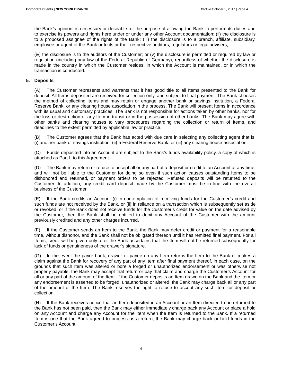the Bank's opinion, is necessary or desirable for the purpose of allowing the Bank to perform its duties and to exercise its powers and rights here under or under any other Account documentation; (ii) the disclosure is to a proposed assignee of the rights of the Bank; (iii) the disclosure is to a branch, affiliate, subsidiary, employee or agent of the Bank or to its or their respective auditors, regulators or legal advisers;

(iv) the disclosure is to the auditors of the Customer; or (v) the disclosure is permitted or required by law or regulation (including any law of the Federal Republic of Germany), regardless of whether the disclosure is made in the country in which the Customer resides, in which the Account is maintained, or in which the transaction is conducted.

#### **5. Deposits**

(A) The Customer represents and warrants that it has good title to all Items presented to the Bank for deposit. All Items deposited are received for collection only, and subject to final payment. The Bank chooses the method of collecting items and may retain or engage another bank or savings institution, a Federal Reserve Bank, or any clearing house association in the process. The Bank will present Items in accordance with its usual and customary practices. The Bank is not responsible for actions taken by other banks, nor for the loss or destruction of any Item in transit or in the possession of other banks. The Bank may agree with other banks and clearing houses to vary procedures regarding the collection or return of Items, and deadlines to the extent permitted by applicable law or practice.

The Customer agrees that the Bank has acted with due care in selecting any collecting agent that is: (i) another bank or savings institution, (ii) a Federal Reserve Bank, or (iii) any clearing house association.

(C) Funds deposited into an Account are subject to the Bank's funds availability policy, a copy of which is attached as Part II to this Agreement.

(D) The Bank may return or refuse to accept all or any part of a deposit or credit to an Account at any time, and will not be liable to the Customer for doing so even if such action causes outstanding Items to be dishonored and returned, or payment orders to be rejected. Refused deposits will be returned to the Customer. In addition, any credit card deposit made by the Customer must be in line with the overall business of the Customer.

(E) If the Bank credits an Account (i) in contemplation of receiving funds for the Customer's credit and such funds are not received by the Bank, or (ii) in reliance on a transaction which is subsequently set aside or revoked, or if the Bank does not receive funds for the Customer's credit for value on the date advised by the Customer, then the Bank shall be entitled to debit any Account of the Customer with the amount previously credited and any other charges incurred.

(F) If the Customer sends an Item to the Bank, the Bank may defer credit or payment for a reasonable time, without dishonor, and the Bank shall not be obligated thereon until it has remitted final payment. For all Items, credit will be given only after the Bank ascertains that the Item will not be returned subsequently for lack of funds or genuineness of the drawer's signature.

(G) In the event the payor bank, drawer or payee on any Item returns the Item to the Bank or makes a claim against the Bank for recovery of any part of any Item after final payment thereof, in each case, on the grounds that such Item was altered or bore a forged or unauthorized endorsement or was otherwise not properly payable, the Bank may accept that return or pay that claim and charge the Customer's Account for all or any part of the amount of the Item. If the Customer deposits an Item drawn on the Bank and the Item or any endorsement is asserted to be forged, unauthorized or altered, the Bank may charge back all or any part of the amount of the Item. The Bank reserves the right to refuse to accept any such Item for deposit or collection.

(H) If the Bank receives notice that an Item deposited in an Account or an Item directed to be returned to the Bank has not been paid, then the Bank may either immediately charge back any Account or place a hold on any Account and charge any Account for the Item when the Item is returned to the Bank. If a returned Item is one that the Bank agreed to process as a return, the Bank may charge back or hold funds in the Customer's Account.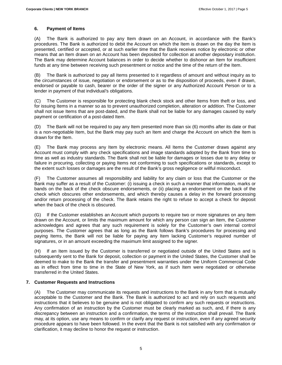#### **6. Payment of Items**

(A) The Bank is authorized to pay any Item drawn on an Account, in accordance with the Bank's procedures. The Bank is authorized to debit the Account on which the Item is drawn on the day the Item is presented, certified or accepted, or at such earlier time that the Bank receives notice by electronic or other means that an Item drawn on an Account has been deposited for collection at another depositary institution. The Bank may determine Account balances in order to decide whether to dishonor an Item for insufficient funds at any time between receiving such presentment or notice and the time of the return of the Item.

(B) The Bank is authorized to pay all Items presented to it regardless of amount and without inquiry as to the circumstances of issue, negotiation or endorsement or as to the disposition of proceeds, even if drawn, endorsed or payable to cash, bearer or the order of the signer or any Authorized Account Person or to a lender in payment of that individual's obligations.

(C) The Customer is responsible for protecting blank check stock and other Items from theft or loss, and for issuing Items in a manner so as to prevent unauthorized completion, alteration or addition. The Customer shall not issue Items that are post-dated, and the Bank shall not be liable for any damages caused by early payment or certification of a post-dated Item.

(D) The Bank will not be required to pay any Item presented more than six (6) months after its date or that is a non-negotiable Item, but the Bank may pay such an Item and charge the Account on which the Item is drawn for the Item.

(E) The Bank may process any Item by electronic means. All Items the Customer draws against any Account must comply with any check specifications and image standards adopted by the Bank from time to time as well as industry standards. The Bank shall not be liable for damages or losses due to any delay or failure in procuring, collecting or paying Items not conforming to such specifications or standards, except to the extent such losses or damages are the result of the Bank's gross negligence or willful misconduct.

(F) The Customer assumes all responsibility and liability for any claim or loss that the Customer or the Bank may suffer as a result of the Customer: (i) issuing a check in such a manner that information, marks or bands on the back of the check obscure endorsements, or (ii) placing an endorsement on the back of the check which obscures other endorsements, and which thereby causes a delay in the forward processing and/or return processing of the check. The Bank retains the right to refuse to accept a check for deposit when the back of the check is obscured.

(G) If the Customer establishes an Account which purports to require two or more signatures on any Item drawn on the Account, or limits the maximum amount for which any person can sign an Item, the Customer acknowledges and agrees that any such requirement is solely for the Customer's own internal control purposes. The Customer agrees that as long as the Bank follows Bank's procedures for processing and paying Items, the Bank will not be liable for paying any Item lacking Customer's required number of signatures, or in an amount exceeding the maximum limit assigned to the signer.

(H) If an Item issued by the Customer is transferred or negotiated outside of the United States and is subsequently sent to the Bank for deposit, collection or payment in the United States, the Customer shall be deemed to make to the Bank the transfer and presentment warranties under the Uniform Commercial Code as in effect from time to time in the State of New York, as if such Item were negotiated or otherwise transferred in the United States.

#### **7. Customer Requests and Instructions**

(A) The Customer may communicate its requests and instructions to the Bank in any form that is mutually acceptable to the Customer and the Bank. The Bank is authorized to act and rely on such requests and instructions that it believes to be genuine and is not obligated to confirm any such requests or instructions. Any confirmation of an instruction by the Customer must be clearly marked as such, and, if there is any discrepancy between an instruction and a confirmation, the terms of the instruction shall prevail. The Bank may, at its option, use any means to confirm or clarify any request or instruction, even if any agreed security procedure appears to have been followed. In the event that the Bank is not satisfied with any confirmation or clarification, it may decline to honor the request or instruction.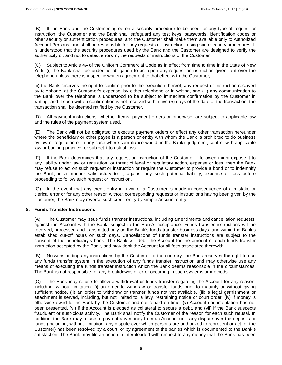(B) If the Bank and the Customer agree on a security procedure to be used for any type of request or instruction, the Customer and the Bank shall safeguard any test keys, passwords, identification codes or other security or authentication procedures, and the Customer shall make them available only to Authorized Account Persons, and shall be responsible for any requests or instructions using such security procedures. It is understood that the security procedures used by the Bank and the Customer are designed to verify the authenticity of, and not to detect errors in, the requests or instructions of the Customer.

(C) Subject to Article 4A of the Uniform Commercial Code as in effect from time to time in the State of New York, (i) the Bank shall be under no obligation to act upon any request or instruction given to it over the telephone unless there is a specific written agreement to that effect with the Customer,

(ii) the Bank reserves the right to confirm prior to the execution thereof, any request or instruction received by telephone, at the Customer's expense, by either telephone or in writing, and (iii) any communication to the Bank over the telephone is understood to be subject to immediate confirmation by the Customer in writing, and if such written confirmation is not received within five (5) days of the date of the transaction, the transaction shall be deemed ratified by the Customer.

(D) All payment instructions, whether Items, payment orders or otherwise, are subject to applicable law and the rules of the payment system used.

(E) The Bank will not be obligated to execute payment orders or effect any other transaction hereunder where the beneficiary or other payee is a person or entity with whom the Bank is prohibited to do business by law or regulation or in any case where compliance would, in the Bank's judgment, conflict with applicable law or banking practice, or subject it to risk of loss.

(F) If the Bank determines that any request or instruction of the Customer if followed might expose it to any liability under law or regulation, or threat of legal or regulatory action, expense or loss, then the Bank may refuse to act on such request or instruction or require the Customer to provide a bond or to indemnify the Bank, in a manner satisfactory to it, against any such potential liability, expense or loss before proceeding to follow such request or instruction.

(G) In the event that any credit entry in favor of a Customer is made in consequence of a mistake or clerical error or for any other reason without corresponding requests or instructions having been given by the Customer, the Bank may reverse such credit entry by simple Account entry.

#### **8. Funds Transfer Instructions**

(A) The Customer may issue funds transfer instructions, including amendments and cancellation requests, against the Account with the Bank, subject to the Bank's acceptance. Funds transfer instructions will be received, processed and transmitted only on the Bank's funds transfer business days, and within the Bank's established cut-off hours on such days. Cancellations of funds transfer instructions are subject to the consent of the beneficiary's bank. The Bank will debit the Account for the amount of each funds transfer instruction accepted by the Bank, and may debit the Account for all fees associated therewith.

(B) Notwithstanding any instructions by the Customer to the contrary, the Bank reserves the right to use any funds transfer system in the execution of any funds transfer instruction and may otherwise use any means of executing the funds transfer instruction which the Bank deems reasonable in the circumstances. The Bank is not responsible for any breakdowns or error occurring in such systems or methods.

(C) The Bank may refuse to allow a withdrawal or funds transfer regarding the Account for any reason, including, without limitation: (i) an order to withdraw or transfer funds prior to maturity or without giving sufficient notice, (ii) an order to withdraw or transfer funds not yet available, (iii) a legal garnishment or attachment is served, including, but not limited to, a levy, restraining notice or court order, (iv) if money is otherwise owed to the Bank by the Customer and not repaid on time, (v) Account documentation has not been presented, (vi) if the Account is pledged as collateral to secure a debt, and (vii) if the Bank suspects fraudulent or suspicious activity. The Bank shall notify the Customer of the reason for each such refusal. In addition, the Bank may refuse to pay out any money from an Account until any dispute over the deposits or funds (including, without limitation, any dispute over which persons are authorized to represent or act for the Customer) has been resolved by a court, or by agreement of the parties which is documented to the Bank's satisfaction. The Bank may file an action in interpleaded with respect to any money that the Bank has been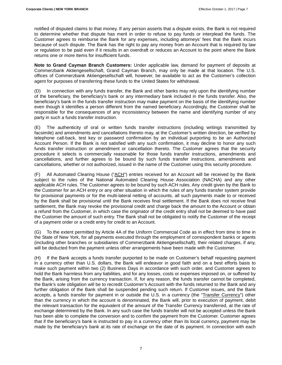notified of disputed claims to that money. If any person asserts that a dispute exists, the Bank is not required to determine whether that dispute has merit in order to refuse to pay funds or interplead the funds. The Customer agrees to reimburse the Bank for any expenses, including attorneys' fees that the Bank incurs because of such dispute. The Bank has the right to pay any money from an Account that is required by law or regulation to be paid even if it results in an overdraft or reduces an Account to the point where the Bank returns one or more Items for insufficient funds.

**Note to Grand Cayman Branch Customers:** Under applicable law, demand for payment of deposits at Commerzbank Aktiengesellschaft, Grand Cayman Branch, may only be made at that location. The U.S. offices of Commerzbank Aktiengesellschaft will, however, be available to act as the Customer's collection agent for purposes of transferring these funds to the United States for withdrawal.

(D) In connection with any funds transfer, the Bank and other banks may rely upon the identifying number of the beneficiary, the beneficiary's bank or any intermediary bank included in the funds transfer. Also, the beneficiary's bank in the funds transfer instruction may make payment on the basis of the identifying number even though it identifies a person different from the named beneficiary. Accordingly, the Customer shall be responsible for the consequences of any inconsistency between the name and identifying number of any party in such a funds transfer instruction.

(E) The authenticity of oral or written funds transfer instructions (including writings transmitted by facsimile) and amendments and cancellations thereto may, at the Customer's written direction, be verified by telephone call-back, test key or password confirmation by an individual purporting to be an Authorized Account Person. If the Bank is not satisfied with any such confirmation, it may decline to honor any such funds transfer instruction or amendment or cancellation thereto. The Customer agrees that the security procedure it selects is commercially reasonable for those funds transfer instructions, amendments and cancellations, and further agrees to be bound by such funds transfer instructions, amendments and cancellations, whether or not authorized, issued in the name of the Customer using this security procedure.

(F) All Automated Clearing House ("ACH") entries received for an Account will be received by the Bank subject to the rules of the National Automated Clearing House Association (NACHA) and any other applicable ACH rules. The Customer agrees to be bound by such ACH rules. Any credit given by the Bank to the Customer for an ACH entry or any other situation in which the rules of any funds transfer system provide for provisional payments or for the multi-lateral netting of accounts, all such payments made to or received by the Bank shall be provisional until the Bank receives final settlement. If the Bank does not receive final settlement, the Bank may revoke the provisional credit and charge back the amount to the Account or obtain a refund from the Customer, in which case the originator of the credit entry shall not be deemed to have paid the Customer the amount of such entry. The Bank shall not be obligated to notify the Customer of the receipt of a payment order or a credit entry for credit to an Account.

(G) To the extent permitted by Article 4A of the Uniform Commercial Code as in effect from time to time in the State of New York, for all payments executed through the employment of correspondent banks or agents (including other branches or subsidiaries of Commerzbank Aktiengesellschaft), their related charges, if any, will be deducted from the payment unless other arrangements have been made with the Customer.

(H) If the Bank accepts a funds transfer purported to be made on Customer's behalf requesting payment in a currency other than U.S. dollars, the Bank will endeavor in good faith and on a best efforts basis to make such payment within two (2) Business Days in accordance with such order, and Customer agrees to hold the Bank harmless from any liabilities, and for any losses, costs or expenses imposed on, or suffered by the Bank, arising from the currency transaction. If, for any reason, the funds transfer cannot be completed, the Bank's sole obligation will be to recredit Customer's Account with the funds returned to the Bank and any further obligation of the Bank shall be suspended pending such return. If Customer issues, and the Bank accepts, a funds transfer for payment in or outside the U.S. in a currency (the "Transfer Currency") other than the currency in which the account is denominated, the Bank will, prior to execution of payment, debit the relevant transaction for the equivalent of the amount of the Transfer Currency transferred, at the rate of exchange determined by the Bank. In any such case the funds transfer will not be accepted unless the Bank has been able to complete the conversion and to confirm the payment from the Customer. Customer agrees that if the beneficiary's bank is instructed to pay in a currency other than its local currency, payment may be made by the beneficiary's bank at its rate of exchange on the date of its payment. In connection with each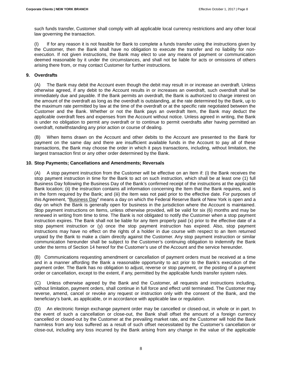such funds transfer, Customer shall comply with all applicable local currency restrictions and any other local law governing the transaction.

(I) If for any reason it is not feasible for Bank to complete a funds transfer using the instructions given by the Customer, then the Bank shall have no obligation to execute the transfer and no liability for nonexecution. If not given instructions, the Bank may elect to use any means of payment or communication deemed reasonable by it under the circumstances, and shall not be liable for acts or omissions of others arising there from, or may contact Customer for further instructions.

#### **9. Overdrafts**

(A) The Bank may debit the Account even though the debit may result in or increase an overdraft. Unless otherwise agreed, if any debit to the Account results in or increases an overdraft, such overdraft shall be immediately due and payable. If the Bank permits an overdraft, the Bank is authorized to charge interest on the amount of the overdraft as long as the overdraft is outstanding, at the rate determined by the Bank, up to the maximum rate permitted by law at the time of the overdraft or at the specific rate negotiated between the Customer and the Bank. Whether or not the Bank pays an overdraft Item, the Bank may deduct the applicable overdraft fees and expenses from the Account without notice. Unless agreed in writing, the Bank is under no obligation to permit any overdraft or to continue to permit overdrafts after having permitted an overdraft, notwithstanding any prior action or course of dealing.

When Items drawn on the Account and other debits to the Account are presented to the Bank for payment on the same day and there are insufficient available funds in the Account to pay all of these transactions, the Bank may choose the order in which it pays transactions, including, without limitation, the largest transaction first or any other order determined by the Bank.

#### **10. Stop Payments; Cancellations and Amendments; Reversals**

(A) A stop payment instruction from the Customer will be effective on an Item if: (i) the Bank receives the stop payment instruction in time for the Bank to act on such instruction, which shall be at least one (1) full Business Day following the Business Day of the Bank's confirmed receipt of the instructions at the applicable Bank location; (ii) the instruction contains all information concerning the Item that the Bank requires, and is in the form required by the Bank; and (iii) the Item was not paid prior to the effective date. For purposes of this Agreement, "Business Day" means a day on which the Federal Reserve Bank of New York is open and a day on which the Bank is generally open for business in the jurisdiction where the Account is maintained. Stop payment instructions on Items, unless otherwise provided, will be valid for six (6) months and may be renewed in writing from time to time. The Bank is not obligated to notify the Customer when a stop payment instruction expires. The Bank shall not be liable for any Item properly paid (x) prior to the effective date of a stop payment instruction or (y) once the stop payment instruction has expired. Also, stop payment instructions may have no effect on the rights of a holder in due course with respect to an Item returned unpaid by the Bank to make a claim directly against the Customer. Any stop payment instruction or similar communication hereunder shall be subject to the Customer's continuing obligation to indemnify the Bank under the terms of Section 14 hereof for the Customer's use of the Account and the service hereunder.

(B) Communications requesting amendment or cancellation of payment orders must be received at a time and in a manner affording the Bank a reasonable opportunity to act prior to the Bank's execution of the payment order. The Bank has no obligation to adjust, reverse or stop payment, or the posting of a payment order or cancellation, except to the extent, if any, permitted by the applicable funds transfer system rules.

(C) Unless otherwise agreed by the Bank and the Customer, all requests and instructions including, without limitation, payment orders, shall continue in full force and effect until terminated. The Customer may reverse, amend, cancel or revoke any request or instruction only with the consent of the Bank, and the beneficiary's bank, as applicable, or in accordance with applicable law or regulation.

(D) An electronic foreign exchange payment order may be cancelled or closed-out, in whole or in part. In the event of such a cancellation or close-out, the Bank shall offset the amount of a foreign currency cancelled or closed-out by the Customer at the prevailing market rate, and the Customer will hold the Bank harmless from any loss suffered as a result of such offset necessitated by the Customer's cancellation or close-out, including any loss incurred by the Bank arising from any change in the value of the applicable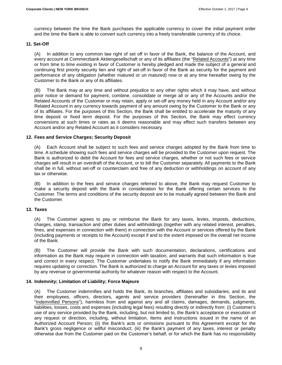currency between the time the Bank purchases the applicable currency to cover the initial payment order and the time the Bank is able to convert such currency into a freely transferable currency of its choice.

#### **11. Set-Off**

(A) In addition to any common law right of set off in favor of the Bank, the balance of the Account, and every account at Commerzbank Aktiengesellschaft or any of its affiliates (the "Related Accounts") at any time or from time to time existing in favor of Customer is hereby pledged and made the subject of a general and continuing first priority security lien and right of set-off in favor of the Bank as security for the payment and performance of any obligation (whether matured or un matured) now or at any time hereafter owing by the Customer to the Bank or any of its affiliates.

(B) The Bank may at any time and without prejudice to any other rights which it may have, and without prior notice or demand for payment, combine, consolidate or merge all or any of the Accounts and/or the Related Accounts of the Customer or may retain, apply or set-off any money held in any Account and/or any Related Account in any currency towards payment of any amount owing by the Customer to the Bank or any of its affiliates. For the purposes of this Section, the Bank shall be entitled to accelerate the maturity of any time deposit or fixed term deposit. For the purposes of this Section, the Bank may effect currency conversions at such times or rates as it deems reasonable and may effect such transfers between any Account and/or any Related Account as it considers necessary.

#### **12. Fees and Service Charges; Security Deposit**

(A) Each Account shall be subject to such fees and service charges adopted by the Bank from time to time. A schedule showing such fees and service charges will be provided to the Customer upon request. The Bank is authorized to debit the Account for fees and service charges, whether or not such fees or service charges will result in an overdraft of the Account, or to bill the Customer separately. All payments to the Bank shall be in full, without set-off or counterclaim and free of any deduction or withholdings on account of any tax or otherwise.

(B) In addition to the fees and service charges referred to above, the Bank may request Customer to make a security deposit with the Bank in consideration for the Bank offering certain services to the Customer. The terms and conditions of the security deposit are to be mutually agreed between the Bank and the Customer.

#### **13. Taxes**

(A) The Customer agrees to pay or reimburse the Bank for any taxes, levies, imposts, deductions, charges, stamp, transaction and other duties and withholdings (together with any related interest, penalties, fines, and expenses in connection with them) in connection with the Account or services offered by the Bank (including payments or receipts to the Account) except if and to the extent imposed on the overall net income of the Bank.

(B) The Customer will provide the Bank with such documentation, declarations, certifications and information as the Bank may require in connection with taxation, and warrants that such information is true and correct in every respect. The Customer undertakes to notify the Bank immediately if any information requires updating or correction. The Bank is authorized to charge an Account for any taxes or levies imposed by any revenue or governmental authority for whatever reason with respect to the Account.

#### **14. Indemnity; Limitation of Liability; Force Majeure**

(A) The Customer indemnifies and holds the Bank, its branches, affiliates and subsidiaries, and its and their employees, officers, directors, agents and service providers (hereinafter in this Section, the "Indemnified Persons"), harmless from and against any and all claims, damages, demands, judgments, liabilities, losses, costs and expenses (including legal fees) resulting directly or indirectly from: (i) Customer's use of any service provided by the Bank, including, but not limited to, the Bank's acceptance or execution of any request or direction, including, without limitation, Items and instructions issued in the name of an Authorized Account Person; (ii) the Bank's acts or omissions pursuant to this Agreement except for the Bank's gross negligence or willful misconduct; (iii) the Bank's payment of any taxes, interest or penalty otherwise due from the Customer paid on the Customer's behalf, or for which the Bank has no responsibility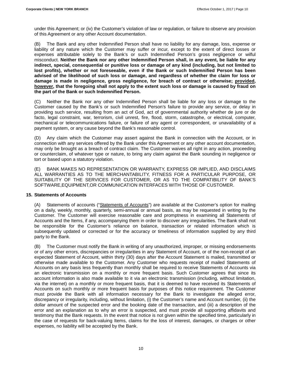under this Agreement; or (iv) the Customer's violation of law or regulation, or failure to observe any provision of this Agreement or any other Account documentation.

(B) The Bank and any other Indemnified Person shall have no liability for any damage, loss, expense or liability of any nature which the Customer may suffer or incur, except to the extent of direct losses or expenses attributable solely to the Bank's or such Indemnified Person's gross negligence or wilful misconduct. **Neither the Bank nor any other Indemnified Person shall, in any event, be liable for any indirect, special, consequential or punitive loss or damage of any kind (including, but not limited to lost profits), whether or not foreseeable, even if the Bank or such Indemnified Person has been advised of the likelihood of such loss or damage, and regardless of whether the claim for loss or damage is made in negligence, gross negligence, for breach of contract or otherwise; provided, however, that the foregoing shall not apply to the extent such loss or damage is caused by fraud on the part of the Bank or such Indemnified Person.**

(C) Neither the Bank nor any other Indemnified Person shall be liable for any loss or damage to the Customer caused by the Bank's or such Indemnified Person's failure to provide any service, or delay in providing such service, resulting from an act of God, act of governmental authority whether de jure or de facto, legal constraint, war, terrorism, civil unrest, fire, flood, storm, catastrophe, or electrical, computer, mechanical or telecommunications failure, or failure of any agent or correspondent, or unavailability of a payment system, or any cause beyond the Bank's reasonable control.

(D) Any claim which the Customer may assert against the Bank in connection with the Account, or in connection with any services offered by the Bank under this Agreement or any other account documentation, may only be brought as a breach of contract claim. The Customer waives all right in any action, proceeding or counterclaim, of whatever type or nature, to bring any claim against the Bank sounding in negligence or tort or based upon a statutory violation.

(E) BANK MAKES NO REPRESENTATION OR WARRANTY, EXPRESS OR IMPLIED, AND DISCLAIMS ALL WARRANTIES AS TO THE MERCHANTABILITY, FITNESS FOR A PARTICULAR PURPOSE, OR SUITABILITY OF THE SERVICES FOR CUSTOMER, OR AS TO THE COMPATIBILITY OF BANK'S SOFTWARE,EQUIPMENT,OR COMMUNICATION INTERFACES WITH THOSE OF CUSTOMER.

#### **15. Statements of Accounts**

(A) Statements of accounts ("Statements of Accounts") are available at the Customer's option for mailing on a daily, weekly, monthly, quarterly, semi-annual or annual basis, as may be requested in writing by the Customer. The Customer will exercise reasonable care and promptness in examining all Statements of Accounts and the Items, if any, accompanying them in order to discover any irregularities. The Bank shall not be responsible for the Customer's reliance on balance, transaction or related information which is subsequently updated or corrected or for the accuracy or timeliness of information supplied by any third party to the Bank.

(B) The Customer must notify the Bank in writing of any unauthorized, improper, or missing endorsements or of any other errors, discrepancies or irregularities in any Statement of Account, or of the non-receipt of an expected Statement of Account, within thirty (30) days after the Account Statement is mailed, transmitted or otherwise made available to the Customer. Any Customer who requests receipt of mailed Statements of Accounts on any basis less frequently than monthly shall be required to receive Statements of Accounts via an electronic transmission on a monthly or more frequent basis. Such Customer agrees that since its account information is also made available to it via an electronic transmission (including, without limitation, via the internet) on a monthly or more frequent basis, that it is deemed to have received its Statements of Accounts on such monthly or more frequent basis for purposes of this notice requirement. The Customer must provide the Bank with all information necessary for the Bank to investigate the alleged error, discrepancy or irregularity, including, without limitation, (i) the Customer's name and Account number, (ii) the dollar amount of the suspected error and the booking date of the transaction, and (iii) a description of the error and an explanation as to why an error is suspected, and must provide all supporting affidavits and testimony that the Bank requests. In the event that notice is not given within the specified time, particularly in the case of requests for back-valuing Items, claims for the loss of interest, damages, or charges or other expenses, no liability will be accepted by the Bank.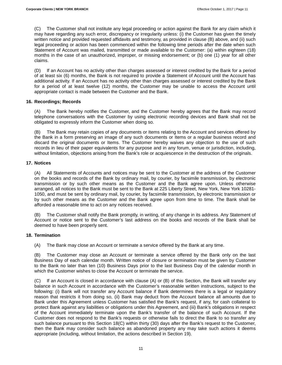(C) The Customer shall not institute any legal proceeding or action against the Bank for any claim which it may have regarding any such error, discrepancy or irregularity unless: (i) the Customer has given the timely written notice and provided requested affidavits and testimony, as provided in clause (B) above, and (ii) such legal proceeding or action has been commenced within the following time periods after the date when such Statement of Account was mailed, transmitted or made available to the Customer: (a) within eighteen (18) months in the case of an unauthorized, improper, or missing endorsement; or (b) one (1) year for all other claims.

(D) If an Account has no activity other than charges assessed or interest credited by the Bank for a period of at least six (6) months, the Bank is not required to provide a Statement of Account until the Account has additional activity. If an Account has no activity other than charges assessed or interest credited by the Bank for a period of at least twelve (12) months, the Customer may be unable to access the Account until appropriate contact is made between the Customer and the Bank.

#### **16. Recordings; Records**

(A) The Bank hereby notifies the Customer, and the Customer hereby agrees that the Bank may record telephone conversations with the Customer by using electronic recording devices and Bank shall not be obligated to expressly inform the Customer when doing so.

(B) The Bank may retain copies of any documents or Items relating to the Account and services offered by the Bank in a form preserving an image of any such documents or Items or a regular business record and discard the original documents or Items. The Customer hereby waives any objection to the use of such records in lieu of their paper equivalents for any purpose and in any forum, venue or jurisdiction, including, without limitation, objections arising from the Bank's role or acquiescence in the destruction of the originals.

#### **17. Notices**

(A) All Statements of Accounts and notices may be sent to the Customer at the address of the Customer on the books and records of the Bank by ordinary mail, by courier, by facsimile transmission, by electronic transmission or by such other means as the Customer and the Bank agree upon. Unless otherwise arranged, all notices to the Bank must be sent to the Bank at 225 Liberty Street, New York, New York 10281- 1050, and must be sent by ordinary mail, by courier, by facsimile transmission, by electronic transmission or by such other means as the Customer and the Bank agree upon from time to time. The Bank shall be afforded a reasonable time to act on any notices received.

(B) The Customer shall notify the Bank promptly, in writing, of any change in its address. Any Statement of Account or notice sent to the Customer's last address on the books and records of the Bank shall be deemed to have been properly sent.

#### **18. Termination**

(A) The Bank may close an Account or terminate a service offered by the Bank at any time.

(B) The Customer may close an Account or terminate a service offered by the Bank only on the last Business Day of each calendar month. Written notice of closure or termination must be given by Customer to the Bank no later than ten (10) Business Days prior to the last Business Day of the calendar month in which the Customer wishes to close the Account or terminate the service.

(C) If an Account is closed in accordance with clause (A) or (B) of this Section, the Bank will transfer any balance in such Account in accordance with the Customer's reasonable written instructions, subject to the following: (i) Bank will not transfer any Account balance if Bank determines there is a legal or regulatory reason that restricts it from doing so, (ii) Bank may deduct from the Account balance all amounts due to Bank under this Agreement unless Customer has satisfied the Bank's request, if any, for cash collateral to protect Bank against any liabilities or obligations under this Agreement, and (iii) Bank's obligations in respect of the Account immediately terminate upon the Bank's transfer of the balance of such Account. If the Customer does not respond to the Bank's requests or otherwise fails to direct the Bank to so transfer any such balance pursuant to this Section 18(C) within thirty (30) days after the Bank's request to the Customer, then the Bank may consider such balance as abandoned property any may take such actions it deems appropriate (including, without limitation, the actions described in Section 19).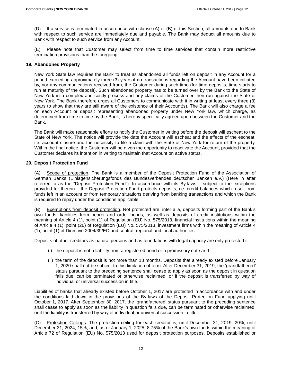(D) If a service is terminated in accordance with clause (A) or (B) of this Section, all amounts due to Bank with respect to such service are immediately due and payable. The Bank may deduct all amounts due to Bank with respect to such service from any Account.

(E) Please note that Customer may select from time to time services that contain more restrictive termination provisions than the foregoing.

#### **19. Abandoned Property**

New York State law requires the Bank to treat as abandoned all funds left on deposit in any Account for a period exceeding approximately three (3) years if no transactions regarding the Account have been initiated by, nor any communications received from, the Customer during such time (for time deposits, time starts to run at maturity of the deposit). Such abandoned property has to be turned over by the Bank to the State of New York in a complex and costly process and any claims of the Customer then run against the State of New York. The Bank therefore urges all Customers to communicate with it in writing at least every three (3) years to show that they are still aware of the existence of their Account(s). The Bank will also charge a fee on each Account or deposit representing abandoned property under New York law, which charge, as determined from time to time by the Bank, is hereby specifically agreed upon between the Customer and the Bank.

The Bank will make reasonable efforts to notify the Customer in writing before the deposit will escheat to the State of New York. The notice will provide the date the Account will escheat and the effects of the escheat, i.e. account closure and the necessity to file a claim with the State of New York for return of the property. Within the final notice, the Customer will be given the opportunity to reactivate the Account, provided that the Customer declares its intention in writing to maintain that Account on active status.

#### **20. Deposit Protection Fund**

(A) Scope of protection. The Bank is a member of the Deposit Protection Fund of the Association of German Banks (Einlagensicherungsfonds des Bundesverbandes deutscher Banken e.V.) (Here in after referred to as the "Deposit Protection Fund"). In accordance with its By-laws – subject to the exceptions provided for therein – the Deposit Protection Fund protects deposits, i.e. credit balances which result from funds left in an account or from temporary situations deriving from banking transactions and which the Bank is required to repay under the conditions applicable.

(B) Exemptions from deposit protection. Not protected are, inter alia, deposits forming part of the Bank's own funds, liabilities from bearer and order bonds, as well as deposits of credit institutions within the meaning of Article 4 (1), point (1) of Regulation (EU) No. 575/2013, financial institutions within the meaning of Article 4 (1), point (26) of Regulation (EU) No. 575/2013, investment firms within the meaning of Article 4 (1), point (1) of Directive 2004/39/EC and central, regional and local authorities.

Deposits of other creditors as natural persons and as foundations with legal capacity are only protected if:

- (i) the deposit is not a liability from a registered bond or a promissory note and
- (ii) the term of the deposit is not more than 18 months. Deposits that already existed before January 1, 2020 shall not be subject to this limitation of term. After December 31, 2019, the 'grandfathered' status pursuant to the preceding sentence shall cease to apply as soon as the deposit in question falls due, can be terminated or otherwise reclaimed, or if the deposit is transferred by way of individual or universal succession in title.

Liabilities of banks that already existed before October 1, 2017 are protected in accordance with and under the conditions laid down in the provisions of the By-laws of the Deposit Protection Fund applying until October 1, 2017. After September 30, 2017, the 'grandfathered' status pursuant to the preceding sentence shall cease to apply as soon as the liability in question falls due, can be terminated or otherwise reclaimed, or if the liability is transferred by way of individual or universal succession in title.

(C) Protection Ceilings. The protection ceiling for each creditor is, until December 31, 2019, 20%, until December 31, 2024, 15%, and, as of January 1, 2025, 8.75% of the Bank's own funds within the meaning of Article 72 of Regulation (EU) No. 575/2013 used for deposit protection purposes. Deposits established or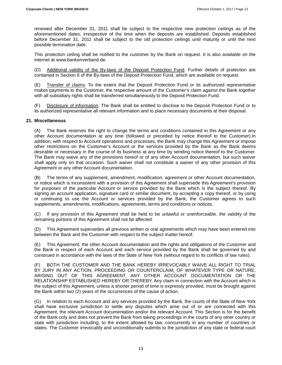renewed after December 31, 2011 shall be subject to the respective new protection ceilings as of the aforementioned dates, irrespective of the time when the deposits are established. Deposits established before December 31, 2011 shall be subject to the old protection ceilings until maturity or until the next possible termination date.

This protection ceiling shall be notified to the customer by the Bank on request. It is also available on the internet at www.bankenverband.de.

(D) Additional validity of the By-laws of the Deposit Protection Fund. Further details of protection are contained in Section 6 of the By-laws of the Deposit Protection Fund, which are available on request.

(E) Transfer of claims. To the extent that the Deposit Protection Fund or its authorized representative makes payments to the Customer, the respective amount of the Customer's claim against the Bank together with all subsidiary rights shall be transferred simultaneously to the Deposit Protection Fund.

Disclosure of information. The Bank shall be entitled to disclose to the Deposit Protection Fund or to its authorized representative all relevant information and to place necessary documents at their disposal.

#### **21. Miscellaneous**

(A) The Bank reserves the right to change the terms and conditions contained in this Agreement or any other Account documentation at any time (followed or preceded by notice thereof to the Customer).In addition, with respect to Account operations and processes, the Bank may change this Agreement or impose other restrictions on the Customer's Account or the services provided by the Bank as the Bank deems desirable or necessary in the course of its business at any time by sending notice thereof to the Customer. The Bank may waive any of the provisions hereof or of any other Account documentation, but such waiver shall apply only on that occasion. Such waiver shall not constitute a waiver of any other provision of this Agreement or any other Account documentation.

(B) The terms of any supplement, amendment, modification, agreement or other Account documentation, or notice which is inconsistent with a provision of this Agreement shall supersede this Agreement's provision for purposes of the particular Account or service provided by the Bank which is the subject thereof. By signing an account application, signature card or similar document, by accepting a copy thereof, or by using or continuing to use the Account or services provided by the Bank, the Customer agrees to such supplements, amendments, modifications, agreements, terms and conditions or notices.

(C) If any provision of this Agreement shall be held to be unlawful or unenforceable, the validity of the remaining portions of this Agreement shall not be affected.

(D) This Agreement supersedes all previous written or oral agreements which may have been entered into between the Bank and the Customer with respect to the subject matter hereof.

(E) This Agreement, the other Account documentation and the rights and obligations of the Customer and the Bank in respect of each Account and each service provided by the Bank shall be governed by and construed in accordance with the laws of the State of New York (without regard to its conflicts of law rules).

(F) BOTH THE CUSTOMER AND THE BANK HEREBY IRREVOCABLY WAIVE ALL RIGHT TO TRIAL BY JURY IN ANY ACTION, PROCEEDING OR COUNTERCLAIM, OF WHATEVER TYPE OR NATURE, ARISING OUT OF THIS AGREEMENT, ANY OTHER ACCOUNT DOCUMENTATION OR THE RELATIONSHIP ESTABLISHED HEREBY OR THEREBY. Any claim in connection with the Account which is the subject of this Agreement, unless a shorter period of time is expressly provided, must be brought against the Bank within two (2) years of the occurrences of the cause of action.

(G) In relation to each Account and any services provided by the Bank, the courts of the State of New York shall have exclusive jurisdiction to settle any disputes which arise out of or are connected with this Agreement, the relevant Account documentation and/or the relevant Account. This Section is for the benefit of the Bank only and does not prevent the Bank from taking proceedings in the courts of any other country or state with jurisdiction including, to the extent allowed by law, concurrently in any number of countries or states. The Customer irrevocably and unconditionally submits to the jurisdiction of any state or federal court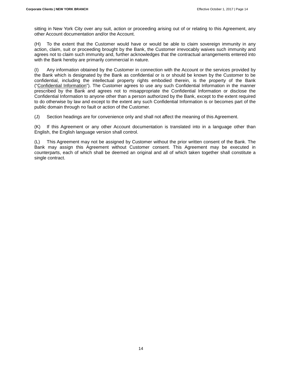sitting in New York City over any suit, action or proceeding arising out of or relating to this Agreement, any other Account documentation and/or the Account.

(H) To the extent that the Customer would have or would be able to claim sovereign immunity in any action, claim, suit or proceeding brought by the Bank, the Customer irrevocably waives such immunity and agrees not to claim such immunity and, further acknowledges that the contractual arrangements entered into with the Bank hereby are primarily commercial in nature.

(I) Any information obtained by the Customer in connection with the Account or the services provided by the Bank which is designated by the Bank as confidential or is or should be known by the Customer to be confidential, including the intellectual property rights embodied therein, is the property of the Bank ("Confidential Information"). The Customer agrees to use any such Confidential Information in the manner prescribed by the Bank and agrees not to misappropriate the Confidential Information or disclose the Confidential Information to anyone other than a person authorized by the Bank, except to the extent required to do otherwise by law and except to the extent any such Confidential Information is or becomes part of the public domain through no fault or action of the Customer.

(J) Section headings are for convenience only and shall not affect the meaning of this Agreement.

(K) If this Agreement or any other Account documentation is translated into in a language other than English, the English language version shall control.

(L) This Agreement may not be assigned by Customer without the prior written consent of the Bank. The Bank may assign this Agreement without Customer consent. This Agreement may be executed in counterparts, each of which shall be deemed an original and all of which taken together shall constitute a single contract.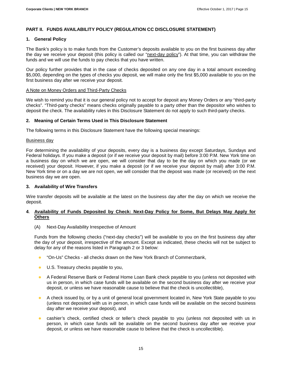#### **PART II. FUNDS AVAILABILITY POLICY (REGULATION CC DISCLOSURE STATEMENT)**

#### **1. General Policy**

The Bank's policy is to make funds from the Customer's deposits available to you on the first business day after the day we receive your deposit (this policy is called our "next-day policy"). At that time, you can withdraw the funds and we will use the funds to pay checks that you have written.

Our policy further provides that in the case of checks deposited on any one day in a total amount exceeding \$5,000, depending on the types of checks you deposit, we will make only the first \$5,000 available to you on the first business day after we receive your deposit.

#### A Note on Money Orders and Third-Party Checks

We wish to remind you that it is our general policy not to accept for deposit any Money Orders or any "third-party checks". "Third-party checks" means checks originally payable to a party other than the depositor who wishes to deposit the check. The availability rules in this Disclosure Statement do not apply to such third-party checks.

#### **2. Meaning of Certain Terms Used in This Disclosure Statement**

The following terms in this Disclosure Statement have the following special meanings:

#### Business day

For determining the availability of your deposits, every day is a business day except Saturdays, Sundays and Federal holidays. If you make a deposit (or if we receive your deposit by mail) before 3:00 P.M. New York time on a business day on which we are open, we will consider that day to be the day on which you made (or we received) your deposit. However, if you make a deposit (or if we receive your deposit by mail) after 3:00 P.M. New York time or on a day we are not open, we will consider that the deposit was made (or received) on the next business day we are open.

#### **3. Availability of Wire Transfers**

Wire transfer deposits will be available at the latest on the business day after the day on which we receive the deposit.

#### **4**. **Availability of Funds Deposited by Check: Next-Day Policy for Some, But Delays May Apply for Others**

#### (A) Next-Day Availability Irrespective of Amount

Funds from the following checks ("next-day checks") will be available to you on the first business day after the day of your deposit, irrespective of the amount. Except as indicated, these checks will not be subject to delay for any of the reasons listed in Paragraph 2 or 3 below:

- "On-Us" Checks all checks drawn on the New York Branch of Commerzbank,
- U.S. Treasury checks payable to you,
- A Federal Reserve Bank or Federal Home Loan Bank check payable to you (unless not deposited with us in person, in which case funds will be available on the second business day after we receive your deposit, or unless we have reasonable cause to believe that the check is uncollectible),
- A check issued by, or by a unit of general local government located in, New York State payable to you (unless not deposited with us in person, in which case funds will be available on the second business day after we receive your deposit), and
- **•** cashier's check, certified check or teller's check payable to you (unless not deposited with us in person, in which case funds will be available on the second business day after we receive your deposit, or unless we have reasonable cause to believe that the check is uncollectible).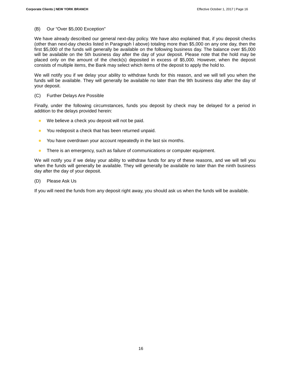#### (B) Our "Over \$5,000 Exception"

We have already described our general next-day policy. We have also explained that, if you deposit checks (other than next-day checks listed in Paragraph l above) totaling more than \$5,000 on any one day, then the first \$5,000 of the funds will generally be available on the following business day. The balance over \$5,000 will be available on the 5th business day after the day of your deposit. Please note that the hold may be placed only on the amount of the check(s) deposited in excess of \$5,000. However, when the deposit consists of multiple items, the Bank may select which items of the deposit to apply the hold to.

We will notify you if we delay your ability to withdraw funds for this reason, and we will tell you when the funds will be available. They will generally be available no later than the 9th business day after the day of your deposit.

#### (C) Further Delays Are Possible

Finally, under the following circumstances, funds you deposit by check may be delayed for a period in addition to the delays provided herein:

- We believe a check you deposit will not be paid.
- You redeposit a check that has been returned unpaid.
- You have overdrawn your account repeatedly in the last six months.
- There is an emergency, such as failure of communications or computer equipment.

We will notify you if we delay your ability to withdraw funds for any of these reasons, and we will tell you when the funds will generally be available. They will generally be available no later than the ninth business day after the day of your deposit.

#### (D) Please Ask Us

If you will need the funds from any deposit right away, you should ask us when the funds will be available.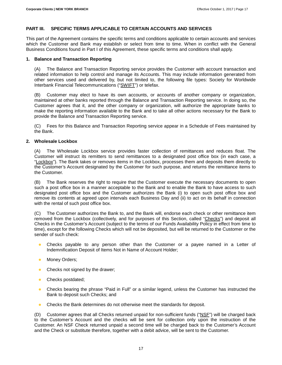# **PART III. SPECIFIC TERMS APPLICABLE TO CERTAIN ACCOUNTS AND SERVICES**

This part of the Agreement contains the specific terms and conditions applicable to certain accounts and services which the Customer and Bank may establish or select from time to time. When in conflict with the General Business Conditions found in Part I of this Agreement, these specific terms and conditions shall apply.

#### **1. Balance and Transaction Reporting**

(A) The Balance and Transaction Reporting service provides the Customer with account transaction and related information to help control and manage its Accounts. This may include information generated from other services used and delivered by, but not limited to, the following file types: Society for Worldwide Interbank Financial Telecommunications ("SWIFT") or telefax.

(B) Customer may elect to have its own accounts, or accounts of another company or organization, maintained at other banks reported through the Balance and Transaction Reporting service. In doing so, the Customer agrees that it, and the other company or organization, will authorize the appropriate banks to make the reporting information available to the Bank and to take all other actions necessary for the Bank to provide the Balance and Transaction Reporting service.

(C) Fees for this Balance and Transaction Reporting service appear in a Schedule of Fees maintained by the Bank.

#### **2. Wholesale Lockbox**

(A) The Wholesale Lockbox service provides faster collection of remittances and reduces float. The Customer will instruct its remitters to send remittances to a designated post office box (in each case, a "Lockbox"). The Bank takes or removes items in the Lockbox, processes them and deposits them directly to the Customer's Account designated by the Customer for such purpose, and returns the remittance items to the Customer.

(B) The Bank reserves the right to require that the Customer execute the necessary documents to open such a post office box in a manner acceptable to the Bank and to enable the Bank to have access to such designated post office box and the Customer authorizes the Bank (i) to open such post office box and remove its contents at agreed upon intervals each Business Day and (ii) to act on its behalf in connection with the rental of such post office box.

(C) The Customer authorizes the Bank to, and the Bank will, endorse each check or other remittance item removed from the Lockbox (collectively, and for purposes of this Section, called "Checks") and deposit all Checks in the Customer's Account (subject to the terms of our Funds Availability Policy in effect from time to time), except for the following Checks which will not be deposited, but will be returned to the Customer or the sender of such check:

- Checks payable to any person other than the Customer or a payee named in a Letter of Indemnification Deposit of Items Not in Name of Account Holder;
- **Money Orders;**
- Checks not signed by the drawer;
- Checks postdated;
- Checks bearing the phrase "Paid in Full" or a similar legend, unless the Customer has instructed the Bank to deposit such Checks; and
- **Checks the Bank determines do not otherwise meet the standards for deposit.**

(D) Customer agrees that all Checks returned unpaid for non-sufficient funds ("NSF") will be charged back to the Customer's Account and the checks will be sent for collection only upon the instruction of the Customer. An NSF Check returned unpaid a second time will be charged back to the Customer's Account and the Check or substitute therefore, together with a debit advice, will be sent to the Customer.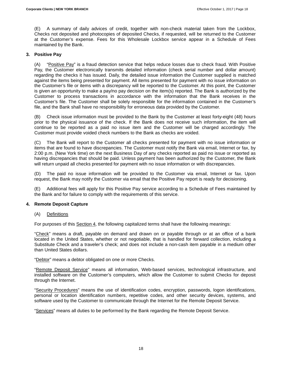(E) A summary of daily advices of credit, together with non-check material taken from the Lockbox, Checks not deposited and photocopies of deposited Checks, if requested, will be returned to the Customer at the Customer's expense. Fees for this Wholesale Lockbox service appear in a Schedule of Fees maintained by the Bank.

# **3. Positive Pay**

(A) "Positive Pay" is a fraud detection service that helps reduce losses due to check fraud. With Positive Pay, the Customer electronically transmits detailed information (check serial number and dollar amount) regarding the checks it has issued. Daily, the detailed issue information the Customer supplied is matched against the items being presented for payment. All items presented for payment with no issue information on the Customer's file or items with a discrepancy will be reported to the Customer. At this point, the Customer is given an opportunity to make a pay/no pay decision on the item(s) reported. The Bank is authorized by the Customer to process transactions in accordance with the information that the Bank receives in the Customer's file. The Customer shall be solely responsible for the information contained in the Customer's file, and the Bank shall have no responsibility for erroneous data provided by the Customer.

(B) Check issue information must be provided to the Bank by the Customer at least forty-eight (48) hours prior to the physical issuance of the check. If the Bank does not receive such information, the item will continue to be reported as a paid no issue item and the Customer will be charged accordingly. The Customer must provide voided check numbers to the Bank as checks are voided.

(C) The Bank will report to the Customer all checks presented for payment with no issue information or items that are found to have discrepancies. The Customer must notify the Bank via email, Internet or fax, by 2:00 p.m. (New York time) on the next Business Day of any checks reported as paid no issue or reported as having discrepancies that should be paid. Unless payment has been authorized by the Customer, the Bank will return unpaid all checks presented for payment with no issue information or with discrepancies.

(D) The paid no issue information will be provided to the Customer via email, Internet or fax. Upon request, the Bank may notify the Customer via email that the Positive Pay report is ready for decisioning.

(E) Additional fees will apply for this Positive Pay service according to a Schedule of Fees maintained by the Bank and for failure to comply with the requirements of this service.

#### **4. Remote Deposit Capture**

#### (A) Definitions

For purposes of this Section 4, the following capitalized terms shall have the following meanings:

"Check" means a draft, payable on demand and drawn on or payable through or at an office of a bank located in the United States, whether or not negotiable, that is handled for forward collection, including a Substitute Check and a traveler's check; and does not include a non-cash item payable in a medium other than United States dollars.

"Debtor" means a debtor obligated on one or more Checks.

"Remote Deposit Service" means all information, Web-based services, technological infrastructure, and installed software on the Customer's computers, which allow the Customer to submit Checks for deposit through the Internet.

"Security Procedures" means the use of identification codes, encryption, passwords, logon identifications, personal or location identification numbers, repetitive codes, and other security devices, systems, and software used by the Customer to communicate through the Internet for the Remote Deposit Service.

"Services" means all duties to be performed by the Bank regarding the Remote Deposit Service.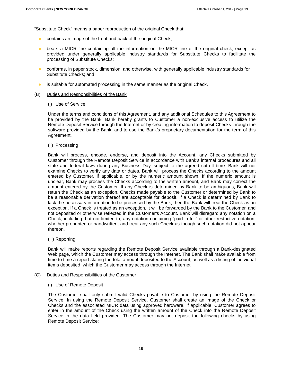"Substitute Check" means a paper reproduction of the original Check that:

- contains an image of the front and back of the original Check;
- bears a MICR line containing all the information on the MICR line of the original check, except as provided under generally applicable industry standards for Substitute Checks to facilitate the processing of Substitute Checks;
- conforms, in paper stock, dimension, and otherwise, with generally applicable industry standards for Substitute Checks; and
- **•** is suitable for automated processing in the same manner as the original Check.
- (B) Duties and Responsibilities of the Bank
	- (i) Use of Service

Under the terms and conditions of this Agreement, and any additional Schedules to this Agreement to be provided by the Bank, Bank hereby grants to Customer a non-exclusive access to utilize the Remote Deposit Service through the Internet or by creating information to deposit Checks through the software provided by the Bank, and to use the Bank's proprietary documentation for the term of this Agreement.

(ii) Processing

Bank will process, encode, endorse, and deposit into the Account, any Checks submitted by Customer through the Remote Deposit Service in accordance with Bank's internal procedures and all state and federal laws during any Business Day, subject to the agreed cut-off time. Bank will not examine Checks to verify any data or dates. Bank will process the Checks according to the amount entered by Customer, if applicable, or by the numeric amount shown. If the numeric amount is unclear, Bank may process the Checks according to the written amount, and Bank may correct the amount entered by the Customer. If any Check is determined by Bank to be ambiguous, Bank will return the Check as an exception. Checks made payable to the Customer or determined by Bank to be a reasonable derivation thereof are acceptable for deposit. If a Check is determined by Bank to lack the necessary information to be processed by the Bank, then the Bank will treat the Check as an exception. If a Check is treated as an exception, it will be forwarded by the Bank to the Customer, and not deposited or otherwise reflected in the Customer's Account. Bank will disregard any notation on a Check, including, but not limited to, any notation containing "paid in full" or other restrictive notation, whether preprinted or handwritten, and treat any such Check as though such notation did not appear thereon.

(iii) Reporting

Bank will make reports regarding the Remote Deposit Service available through a Bank-designated Web page, which the Customer may access through the Internet. The Bank shall make available from time to time a report stating the total amount deposited to the Account, as well as a listing of individual items deposited, which the Customer may access through the Internet.

- (C) Duties and Responsibilities of the Customer
	- (i) Use of Remote Deposit

The Customer shall only submit valid Checks payable to Customer by using the Remote Deposit Service. In using the Remote Deposit Service, Customer shall create an image of the Check or Checks and the associated MICR data using approved hardware. If applicable, Customer agrees to enter in the amount of the Check using the written amount of the Check into the Remote Deposit Service in the data field provided. The Customer may not deposit the following checks by using Remote Deposit Service: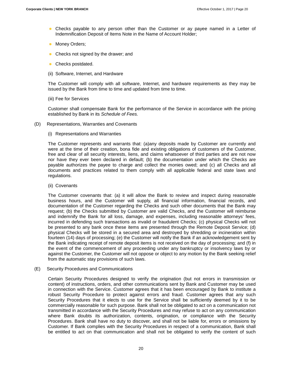- Checks payable to any person other than the Customer or ay payee named in a Letter of Indemnification Deposit of Items Note in the Name of Account Holder;
- **Money Orders;**
- Checks not signed by the drawer; and
- Checks postdated.
- (ii) Software, Internet, and Hardware

The Customer will comply with all software, Internet, and hardware requirements as they may be issued by the Bank from time to time and updated from time to time.

(iii) Fee for Services

Customer shall compensate Bank for the performance of the Service in accordance with the pricing established by Bank in its Schedule of Fees.

- (D) Representations, Warranties and Covenants
	- (i) Representations and Warranties

The Customer represents and warrants that: (a)any deposits made by Customer are currently and were at the time of their creation, bona fide and existing obligations of customers of the Customer, free and clear of all security interests, liens, and claims whatsoever of third parties and are not now nor have they ever been declared in default; (b) the documentation under which the Checks are payable authorizes the payee to charge and collect the monies owed; and (c) all Checks and all documents and practices related to them comply with all applicable federal and state laws and regulations.

(ii) Covenants

The Customer covenants that: (a) it will allow the Bank to review and inspect during reasonable business hours, and the Customer will supply, all financial information, financial records, and documentation of the Customer regarding the Checks and such other documents that the Bank may request; (b) the Checks submitted by Customer are valid Checks, and the Customer will reimburse and indemnify the Bank for all loss, damage, and expenses, including reasonable attorneys' fees, incurred in defending such transactions as invalid or fraudulent Checks; (c) physical Checks will not be presented to any bank once these items are presented through the Remote Deposit Service; (d) physical Checks will be stored in a secured area and destroyed by shredding or incineration within fourteen (14) days of processing; (e) the Customer will notify the Bank if an acknowledgement sent by the Bank indicating receipt of remote deposit items is not received on the day of processing; and (f) in the event of the commencement of any proceeding under any bankruptcy or insolvency laws by or against the Customer, the Customer will not oppose or object to any motion by the Bank seeking relief from the automatic stay provisions of such laws.

(E) Security Procedures and Communications

Certain Security Procedures designed to verify the origination (but not errors in transmission or content) of instructions, orders, and other communications sent by Bank and Customer may be used in connection with the Service. Customer agrees that it has been encouraged by Bank to institute a robust Security Procedure to protect against errors and fraud. Customer agrees that any such Security Procedures that it elects to use for the Service shall be sufficiently deemed by it to be commercially reasonable for such purpose. Bank shall not be obligated to act on a communication not transmitted in accordance with the Security Procedures and may refuse to act on any communication where Bank doubts its authorization, contents, origination, or compliance with the Security Procedures. Bank shall have no duty to discover, and shall not be liable for, errors or omissions by Customer. If Bank complies with the Security Procedures in respect of a communication, Bank shall be entitled to act on that communication and shall not be obligated to verify the content of such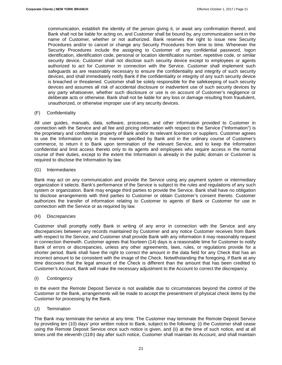communication, establish the identity of the person giving it, or await any confirmation thereof, and Bank shall not be liable for acting on, and Customer shall be bound by, any communication sent in the name of Customer, whether or not authorized. Bank reserves the right to issue new Security Procedures and/or to cancel or change any Security Procedures from time to time. Whenever the Security Procedures include the assigning to Customer of any confidential password, logon identification, identification code, personal or location identification number, repetitive code, or similar security device, Customer shall not disclose such security device except to employees or agents authorized to act for Customer in connection with the Service. Customer shall implement such safeguards as are reasonably necessary to ensure the confidentiality and integrity of such security devices, and shall immediately notify Bank if the confidentiality or integrity of any such security device is breached or threatened. Customer shall be solely responsible for the safekeeping of such security devices and assumes all risk of accidental disclosure or inadvertent use of such security devices by any party whatsoever, whether such disclosure or use is on account of Customer's negligence or deliberate acts or otherwise. Bank shall not be liable for any loss or damage resulting from fraudulent, unauthorized, or otherwise improper use of any security devices.

#### (F) Confidentiality

All user guides, manuals, data, software, processes, and other information provided to Customer in connection with the Service and all fee and pricing information with respect to the Service ("Information") is the proprietary and confidential property of Bank and/or its relevant licensors or suppliers. Customer agrees to use the Information only in the manner specified by Bank and in the ordinary course of Customer's commerce, to return it to Bank upon termination of the relevant Service, and to keep the Information confidential and limit access thereto only to its agents and employees who require access in the normal course of their duties, except to the extent the Information is already in the public domain or Customer is required to disclose the Information by law.

#### (G) Intermediaries

Bank may act on any communication and provide the Service using any payment system or intermediary organization it selects. Bank's performance of the Service is subject to the rules and regulations of any such system or organization. Bank may engage third parties to provide the Service. Bank shall have no obligation to disclose arrangements with third parties to Customer or obtain Customer's consent thereto. Customer authorizes the transfer of information relating to Customer to agents of Bank or Customer for use in connection with the Service or as required by law.

#### (H) Discrepancies

Customer shall promptly notify Bank in writing of any error in connection with the Service and any discrepancies between any records maintained by Customer and any notice Customer receives from Bank with respect to the Service, and Customer shall provide Bank with any information it may reasonably request in connection therewith. Customer agrees that fourteen (14) days is a reasonable time for Customer to notify Bank of errors or discrepancies, unless any other agreements, laws, rules, or regulations provide for a shorter period. Bank shall have the right to correct the amount in the data field for any Check that has an incorrect amount to be consistent with the image of the Check. Notwithstanding the foregoing, if Bank at any time discovers that the legal amount of the Check is different than the amount that has been credited to Customer's Account, Bank will make the necessary adjustment to the Account to correct the discrepancy.

(I) Contingency

In the event the Remote Deposit Service is not available due to circumstances beyond the control of the Customer or the Bank, arrangements will be made to accept the presentment of physical check items by the Customer for processing by the Bank.

#### (J) Termination

The Bank may terminate the service at any time. The Customer may terminate the Remote Deposit Service by providing ten (10) days' prior written notice to Bank, subject to the following: (i) the Customer shall cease using the Remote Deposit Service once such notice is given, and (ii) at the time of such notice, and at all times until the eleventh (11th) day after such notice, Customer shall maintain its Account, and shall maintain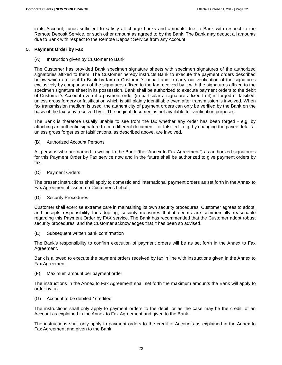in its Account, funds sufficient to satisfy all charge backs and amounts due to Bank with respect to the Remote Deposit Service, or such other amount as agreed to by the Bank. The Bank may deduct all amounts due to Bank with respect to the Remote Deposit Service from any Account.

#### **5. Payment Order by Fax**

(A) Instruction given by Customer to Bank

The Customer has provided Bank specimen signature sheets with specimen signatures of the authorized signatories affixed to them. The Customer hereby instructs Bank to execute the payment orders described below which are sent to Bank by fax on Customer's behalf and to carry out verification of the signatures exclusively by comparison of the signatures affixed to the fax received by it with the signatures affixed to the specimen signature sheet in its possession. Bank shall be authorized to execute payment orders to the debit of Customer's Account even if a payment order (in particular a signature affixed to it) is forged or falsified, unless gross forgery or falsification which is still plainly identifiable even after transmission is involved. When fax transmission medium is used, the authenticity of payment orders can only be verified by the Bank on the basis of the fax copy received by it. The original document is not available for verification purposes.

The Bank is therefore usually unable to see from the fax whether any order has been forged - e.g. by attaching an authentic signature from a different document - or falsified - e.g. by changing the payee details unless gross forgeries or falsifications, as described above, are involved.

#### (B) Authorized Account Persons

All persons who are named in writing to the Bank (the "Annex to Fax Agreement") as authorized signatories for this Payment Order by Fax service now and in the future shall be authorized to give payment orders by fax.

(C) Payment Orders

The present instructions shall apply to domestic and international payment orders as set forth in the Annex to Fax Agreement if issued on Customer's behalf.

#### (D) Security Procedures

Customer shall exercise extreme care in maintaining its own security procedures. Customer agrees to adopt, and accepts responsibility for adopting, security measures that it deems are commercially reasonable regarding this Payment Order by FAX service. The Bank has recommended that the Customer adopt robust security procedures, and the Customer acknowledges that it has been so advised.

(E) Subsequent written bank confirmation

The Bank's responsibility to confirm execution of payment orders will be as set forth in the Annex to Fax Agreement.

Bank is allowed to execute the payment orders received by fax in line with instructions given in the Annex to Fax Agreement.

(F) Maximum amount per payment order

The instructions in the Annex to Fax Agreement shall set forth the maximum amounts the Bank will apply to order by fax.

(G) Account to be debited / credited

The instructions shall only apply to payment orders to the debit, or as the case may be the credit, of an Account as explained in the Annex to Fax Agreement and given to the Bank.

The instructions shall only apply to payment orders to the credit of Accounts as explained in the Annex to Fax Agreement and given to the Bank.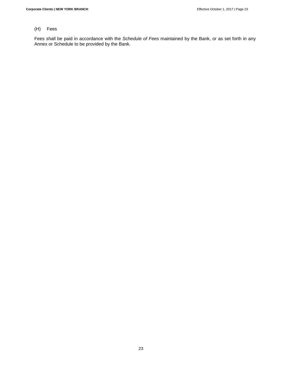# (H) Fees

Fees shall be paid in accordance with the Schedule of Fees maintained by the Bank, or as set forth in any Annex or Schedule to be provided by the Bank.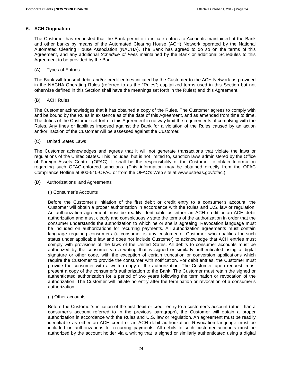#### **6. ACH Origination**

The Customer has requested that the Bank permit it to initiate entries to Accounts maintained at the Bank and other banks by means of the Automated Clearing House (ACH) Network operated by the National Automated Clearing House Association (NACHA). The Bank has agreed to do so on the terms of this Agreement, and any additional Schedule of Fees maintained by the Bank or additional Schedules to this Agreement to be provided by the Bank.

#### (A) Types of Entries

The Bank will transmit debit and/or credit entries initiated by the Customer to the ACH Network as provided in the NACHA Operating Rules (referred to as the "Rules"; capitalized terms used in this Section but not otherwise defined in this Section shall have the meanings set forth in the Rules) and this Agreement.

#### (B) ACH Rules

The Customer acknowledges that it has obtained a copy of the Rules. The Customer agrees to comply with and be bound by the Rules in existence as of the date of this Agreement, and as amended from time to time. The duties of the Customer set forth in this Agreement in no way limit the requirements of complying with the Rules. Any fines or liabilities imposed against the Bank for a violation of the Rules caused by an action and/or inaction of the Customer will be assessed against the Customer.

#### (C) United States Laws

The Customer acknowledges and agrees that it will not generate transactions that violate the laws or regulations of the United States. This includes, but is not limited to, sanction laws administered by the Office of Foreign Assets Control (OFAC). It shall be the responsibility of the Customer to obtain Information regarding such OFAC-enforced sanctions. (This information may be obtained directly from the OFAC Compliance Hotline at 800-540-OFAC or from the OFAC's Web site at www.ustreas.gov/ofac.)

#### (D) Authorizations and Agreements

#### (i) Consumer's Accounts

Before the Customer's initiation of the first debit or credit entry to a consumer's account, the Customer will obtain a proper authorization in accordance with the Rules and U.S. law or regulation. An authorization agreement must be readily identifiable as either an ACH credit or an ACH debit authorization and must clearly and conspicuously state the terms of the authorization in order that the consumer understands the authorization to which he or she is agreeing. Revocation language must be included on authorizations for recurring payments. All authorization agreements must contain language requiring consumers (a consumer is any customer of Customer who qualifies for such status under applicable law and does not include Customer) to acknowledge that ACH entries must comply with provisions of the laws of the United States. All debits to consumer accounts must be authorized by the consumer via a writing that is signed or similarly authenticated using a digital signature or other code, with the exception of certain truncation or conversion applications which require the Customer to provide the consumer with notification. For debit entries, the Customer must provide the consumer with a written copy of the authorization. The Customer, upon request, must present a copy of the consumer's authorization to the Bank. The Customer must retain the signed or authenticated authorization for a period of two years following the termination or revocation of the authorization. The Customer will initiate no entry after the termination or revocation of a consumer's authorization.

#### (ii) Other accounts

Before the Customer's initiation of the first debit or credit entry to a customer's account (other than a consumer's account referred to in the previous paragraph), the Customer will obtain a proper authorization in accordance with the Rules and U.S. law or regulation. An agreement must be readily identifiable as either an ACH credit or an ACH debit authorization. Revocation language must be included on authorizations for recurring payments. All debits to such customer accounts must be authorized by the account holder via a writing that is signed or similarly authenticated using a digital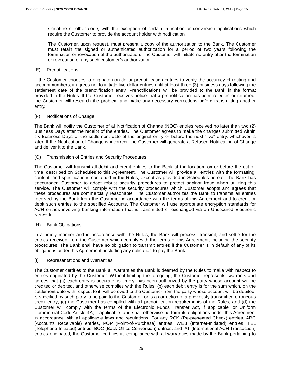signature or other code, with the exception of certain truncation or conversion applications which require the Customer to provide the account holder with notification.

The Customer, upon request, must present a copy of the authorization to the Bank. The Customer must retain the signed or authenticated authorization for a period of two years following the termination or revocation of the authorization. The Customer will initiate no entry after the termination or revocation of any such customer's authorization.

#### (E) Prenotifications

If the Customer chooses to originate non-dollar prenotification entries to verify the accuracy of routing and account numbers, it agrees not to initiate live-dollar entries until at least three (3) business days following the settlement date of the prenotification entry. Prenotifications will be provided to the Bank in the format provided in the Rules. If the Customer receives notice that a prenotification has been rejected or returned, the Customer will research the problem and make any necessary corrections before transmitting another entry.

#### (F) Notifications of Change

The Bank will notify the Customer of all Notification of Change (NOC) entries received no later than two (2) Business Days after the receipt of the entries. The Customer agrees to make the changes submitted within six Business Days of the settlement date of the original entry or before the next "live" entry, whichever is later. If the Notification of Change is incorrect, the Customer will generate a Refused Notification of Change and deliver it to the Bank.

(G) Transmission of Entries and Security Procedures

The Customer will transmit all debit and credit entries to the Bank at the location, on or before the cut-off time, described on Schedules to this Agreement. The Customer will provide all entries with the formatting, content, and specifications contained in the Rules, except as provided in Schedules hereto. The Bank has encouraged Customer to adopt robust security procedures to protect against fraud when utilizing this service. The Customer will comply with the security procedures which Customer adopts and agrees that these procedures are commercially reasonable. The Customer authorizes the Bank to transmit all entries received by the Bank from the Customer in accordance with the terms of this Agreement and to credit or debit such entries to the specified Accounts. The Customer will use appropriate encryption standards for ACH entries involving banking information that is transmitted or exchanged via an Unsecured Electronic Network.

#### (H) Bank Obligations

In a timely manner and in accordance with the Rules, the Bank will process, transmit, and settle for the entries received from the Customer which comply with the terms of this Agreement, including the security procedures. The Bank shall have no obligation to transmit entries if the Customer is in default of any of its obligations under this Agreement, including any obligation to pay the Bank.

#### (I) Representations and Warranties

The Customer certifies to the Bank all warranties the Bank is deemed by the Rules to make with respect to entries originated by the Customer. Without limiting the foregoing, the Customer represents, warrants and agrees that (a) each entry is accurate, is timely, has been authorized by the party whose account will be credited or debited, and otherwise complies with the Rules; (b) each debit entry is for the sum which, on the settlement date with respect to it, will be owed to the Customer from the party whose account will be debited, is specified by such party to be paid to the Customer, or is a correction of a previously transmitted erroneous credit entry; (c) the Customer has complied with all prenotification requirements of the Rules, and (d) the Customer will comply with the terms of the Electronic Funds Transfer Act, if applicable, or Uniform Commercial Code Article 4A, if applicable, and shall otherwise perform its obligations under this Agreement in accordance with all applicable laws and regulations. For any RCK (Re-presented Check) entries, ARC (Accounts Receivable) entries, POP (Point-of-Purchase) entries, WEB (Internet-Initiated) entries, TEL (Telephone-Initiated) entries, BOC (Back Office Conversion) entries, and IAT (International ACH Transaction) entries originated, the Customer certifies its compliance with all warranties made by the Bank pertaining to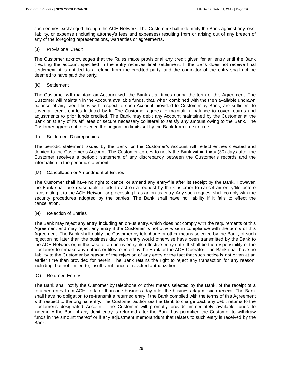such entries exchanged through the ACH Network. The Customer shall indemnify the Bank against any loss, liability, or expense (including attorney's fees and expenses) resulting from or arising out of any breach of any of the foregoing representations, warranties or agreements.

#### (J) Provisional Credit

The Customer acknowledges that the Rules make provisional any credit given for an entry until the Bank crediting the account specified in the entry receives final settlement. If the Bank does not receive final settlement, it is entitled to a refund from the credited party, and the originator of the entry shall not be deemed to have paid the party.

#### (K) Settlement

The Customer will maintain an Account with the Bank at all times during the term of this Agreement. The Customer will maintain in the Account available funds, that, when combined with the then available undrawn balance of any credit lines with respect to such Account provided to Customer by Bank, are sufficient to cover all credit entries initiated by it. The Customer agrees to maintain a balance to cover returns and adjustments to prior funds credited. The Bank may debit any Account maintained by the Customer at the Bank or at any of its affiliates or secure necessary collateral to satisfy any amount owing to the Bank. The Customer agrees not to exceed the origination limits set by the Bank from time to time.

#### (L) Settlement Discrepancies

The periodic statement issued by the Bank for the Customer's Account will reflect entries credited and debited to the Customer's Account. The Customer agrees to notify the Bank within thirty (30) days after the Customer receives a periodic statement of any discrepancy between the Customer's records and the information in the periodic statement.

(M) Cancellation or Amendment of Entries

The Customer shall have no right to cancel or amend any entry/file after its receipt by the Bank. However, the Bank shall use reasonable efforts to act on a request by the Customer to cancel an entry/file before transmitting it to the ACH Network or processing it as an on-us entry. Any such request shall comply with the security procedures adopted by the parties. The Bank shall have no liability if it fails to effect the cancellation.

#### (N) Rejection of Entries

The Bank may reject any entry, including an on-us entry, which does not comply with the requirements of this Agreement and may reject any entry if the Customer is not otherwise in compliance with the terms of this Agreement. The Bank shall notify the Customer by telephone or other means selected by the Bank, of such rejection no later than the business day such entry would otherwise have been transmitted by the Bank to the ACH Network or, in the case of an on-us entry, its effective entry date. It shall be the responsibility of the Customer to remake any entries or files rejected by the Bank or the ACH Operator. The Bank shall have no liability to the Customer by reason of the rejection of any entry or the fact that such notice is not given at an earlier time than provided for herein. The Bank retains the right to reject any transaction for any reason, including, but not limited to, insufficient funds or revoked authorization.

#### (O) Returned Entries

The Bank shall notify the Customer by telephone or other means selected by the Bank, of the receipt of a returned entry from ACH no later than one business day after the business day of such receipt. The Bank shall have no obligation to re-transmit a returned entry if the Bank complied with the terms of this Agreement with respect to the original entry. The Customer authorizes the Bank to charge back any debit returns to the Customer's designated Account. The Customer will promptly provide immediately available funds to indemnify the Bank if any debit entry is returned after the Bank has permitted the Customer to withdraw funds in the amount thereof or if any adjustment memorandum that relates to such entry is received by the Bank.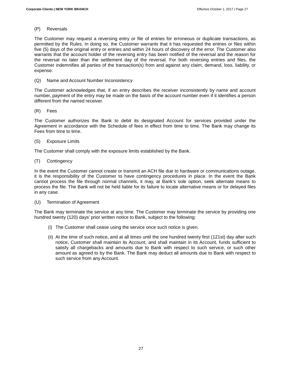#### (P) Reversals

The Customer may request a reversing entry or file of entries for erroneous or duplicate transactions, as permitted by the Rules. In doing so, the Customer warrants that it has requested the entries or files within five (5) days of the original entry or entries and within 24 hours of discovery of the error. The Customer also warrants that the account holder of the reversing entry has been notified of the reversal and the reason for the reversal no later than the settlement day of the reversal. For both reversing entries and files, the Customer indemnifies all parties of the transaction(s) from and against any claim, demand, loss, liability, or expense.

(Q) Name and Account Number Inconsistency

The Customer acknowledges that, if an entry describes the receiver inconsistently by name and account number, payment of the entry may be made on the basis of the account number even if it identifies a person different from the named receiver.

(R) Fees

The Customer authorizes the Bank to debit its designated Account for services provided under the Agreement in accordance with the Schedule of fees in effect from time to time. The Bank may change its Fees from time to time.

#### (S) Exposure Limits

The Customer shall comply with the exposure limits established by the Bank.

(T) Contingency

In the event the Customer cannot create or transmit an ACH file due to hardware or communications outage, it is the responsibility of the Customer to have contingency procedures in place. In the event the Bank cannot process the file through normal channels, it may, at Bank's sole option, seek alternate means to process the file. The Bank will not be held liable for its failure to locate alternative means or for delayed files in any case.

(U) Termination of Agreement

The Bank may terminate the service at any time. The Customer may terminate the service by providing one hundred twenty (120) days' prior written notice to Bank, subject to the following:

- (i) The Customer shall cease using the service once such notice is given.
- (ii) At the time of such notice, and at all times until the one hundred twenty first (121st) day after such notice, Customer shall maintain its Account, and shall maintain in its Account, funds sufficient to satisfy all chargebacks and amounts due to Bank with respect to such service, or such other amount as agreed to by the Bank. The Bank may deduct all amounts due to Bank with respect to such service from any Account.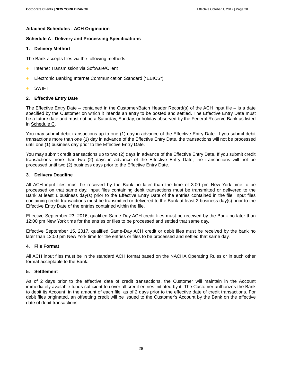#### **Attached Schedules - ACH Origination**

#### **Schedule A - Delivery and Processing Specifications**

#### **1. Delivery Method**

The Bank accepts files via the following methods:

- **Internet Transmission via Software/Client**
- **Electronic Banking Internet Communication Standard ("EBICS")**
- SWIFT

#### **2. Effective Entry Date**

The Effective Entry Date – contained in the Customer/Batch Header Record(s) of the ACH input file – is a date specified by the Customer on which it intends an entry to be posted and settled. The Effective Entry Date must be a future date and must not be a Saturday, Sunday, or holiday observed by the Federal Reserve Bank as listed in Schedule C.

You may submit debit transactions up to one (1) day in advance of the Effective Entry Date. If you submit debit transactions more than one (1) day in advance of the Effective Entry Date, the transactions will not be processed until one (1) business day prior to the Effective Entry Date.

You may submit credit transactions up to two (2) days in advance of the Effective Entry Date. If you submit credit transactions more than two (2) days in advance of the Effective Entry Date, the transactions will not be processed until two (2) business days prior to the Effective Entry Date.

#### **3. Delivery Deadline**

All ACH input files must be received by the Bank no later than the time of 3:00 pm New York time to be processed on that same day. Input files containing debit transactions must be transmitted or delivered to the Bank at least 1 business day(s) prior to the Effective Entry Date of the entries contained in the file. Input files containing credit transactions must be transmitted or delivered to the Bank at least 2 business day(s) prior to the Effective Entry Date of the entries contained within the file.

Effective September 23, 2016, qualified Same-Day ACH credit files must be received by the Bank no later than 12:00 pm New York time for the entries or files to be processed and settled that same day.

Effective September 15, 2017, qualified Same-Day ACH credit or debit files must be received by the bank no later than 12:00 pm New York time for the entries or files to be processed and settled that same day.

#### **4. File Format**

All ACH input files must be in the standard ACH format based on the NACHA Operating Rules or in such other format acceptable to the Bank.

#### **5. Settlement**

As of 2 days prior to the effective date of credit transactions, the Customer will maintain in the Account immediately available funds sufficient to cover all credit entries initiated by it. The Customer authorizes the Bank to debit its Account, in the amount of each file, as of 2 days prior to the effective date of credit transactions. For debit files originated, an offsetting credit will be issued to the Customer's Account by the Bank on the effective date of debit transactions.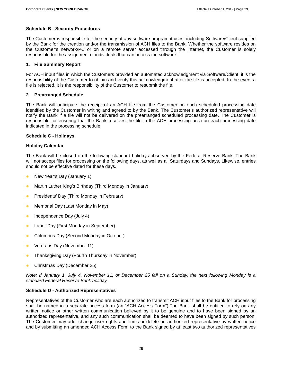# **Schedule B - Security Procedures**

The Customer is responsible for the security of any software program it uses, including Software/Client supplied by the Bank for the creation and/or the transmission of ACH files to the Bank. Whether the software resides on the Customer's network/PC or on a remote server accessed through the Internet, the Customer is solely responsible for the assignment of individuals that can access the software.

# **1. File Summary Report**

For ACH input files in which the Customers provided an automated acknowledgment via Software/Client, it is the responsibility of the Customer to obtain and verify this acknowledgment after the file is accepted. In the event a file is rejected, it is the responsibility of the Customer to resubmit the file.

# **2. Prearranged Schedule**

The Bank will anticipate the receipt of an ACH file from the Customer on each scheduled processing date identified by the Customer in writing and agreed to by the Bank. The Customer's authorized representative will notify the Bank if a file will not be delivered on the prearranged scheduled processing date. The Customer is responsible for ensuring that the Bank receives the file in the ACH processing area on each processing date indicated in the processing schedule.

# **Schedule C - Holidays**

# **Holiday Calendar**

The Bank will be closed on the following standard holidays observed by the Federal Reserve Bank. The Bank will not accept files for processing on the following days, as well as all Saturdays and Sundays. Likewise, entries should not be effective dated for these days.

- New Year's Day (January 1)
- Martin Luther King's Birthday (Third Monday in January)
- **•** Presidents' Day (Third Monday in February)
- Memorial Day (Last Monday in May)
- $\bullet$  Independence Day (July 4)
- Labor Day (First Monday in September)
- Columbus Day (Second Monday in October)
- Veterans Day (November 11)
- Thanksgiving Day (Fourth Thursday in November)
- **Christmas Day (December 25)**

Note: If January 1, July 4, November 11, or December 25 fall on a Sunday, the next following Monday is a standard Federal Reserve Bank holiday.

#### **Schedule D - Authorized Representatives**

Representatives of the Customer who are each authorized to transmit ACH input files to the Bank for processing shall be named in a separate access form (an "ACH Access Form"). The Bank shall be entitled to rely on any written notice or other written communication believed by it to be genuine and to have been signed by an authorized representative, and any such communication shall be deemed to have been signed by such person. The Customer may add, change user rights and limits or delete an authorized representative by written notice and by submitting an amended ACH Access Form to the Bank signed by at least two authorized representatives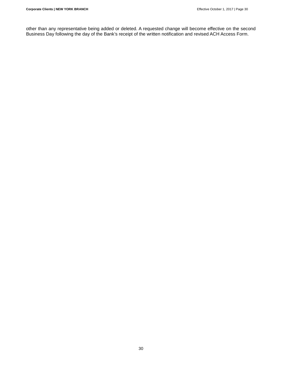other than any representative being added or deleted. A requested change will become effective on the second Business Day following the day of the Bank's receipt of the written notification and revised ACH Access Form.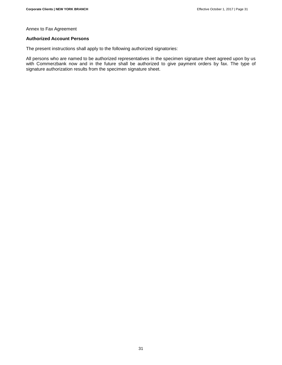Annex to Fax Agreement

#### **Authorized Account Persons**

The present instructions shall apply to the following authorized signatories:

All persons who are named to be authorized representatives in the specimen signature sheet agreed upon by us with Commerzbank now and in the future shall be authorized to give payment orders by fax. The type of signature authorization results from the specimen signature sheet.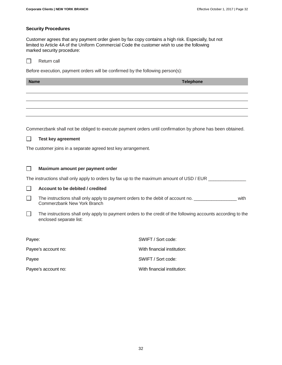# **Security Procedures**

Customer agrees that any payment order given by fax copy contains a high risk. Especially, but not limited to Article 4A of the Uniform Commercial Code the customer wish to use the following marked security procedure:

|  |  | Return call |  |
|--|--|-------------|--|
|--|--|-------------|--|

Before execution, payment orders will be confirmed by the following person(s):

| <b>Name</b> |                                                                                                                        | <b>Telephone</b>                                                                                             |  |  |
|-------------|------------------------------------------------------------------------------------------------------------------------|--------------------------------------------------------------------------------------------------------------|--|--|
|             |                                                                                                                        |                                                                                                              |  |  |
|             |                                                                                                                        |                                                                                                              |  |  |
|             |                                                                                                                        |                                                                                                              |  |  |
|             |                                                                                                                        |                                                                                                              |  |  |
|             |                                                                                                                        | Commerzbank shall not be obliged to execute payment orders until confirmation by phone has been obtained.    |  |  |
|             | <b>Test key agreement</b>                                                                                              |                                                                                                              |  |  |
|             | The customer joins in a separate agreed test key arrangement.                                                          |                                                                                                              |  |  |
|             |                                                                                                                        |                                                                                                              |  |  |
|             | Maximum amount per payment order                                                                                       |                                                                                                              |  |  |
|             |                                                                                                                        | The instructions shall only apply to orders by fax up to the maximum amount of USD / EUR _______________     |  |  |
|             | Account to be debited / credited                                                                                       |                                                                                                              |  |  |
| ப           | The instructions shall only apply to payment orders to the debit of account no.<br>with<br>Commerzbank New York Branch |                                                                                                              |  |  |
| $\perp$     | enclosed separate list:                                                                                                | The instructions shall only apply to payment orders to the credit of the following accounts according to the |  |  |
|             |                                                                                                                        |                                                                                                              |  |  |
| Payee:      |                                                                                                                        | SWIFT / Sort code:                                                                                           |  |  |
|             | Payee's account no:                                                                                                    | With financial institution:                                                                                  |  |  |
| Payee       |                                                                                                                        | SWIFT / Sort code:                                                                                           |  |  |

Payee's account no:  $\qquad \qquad$  With financial institution: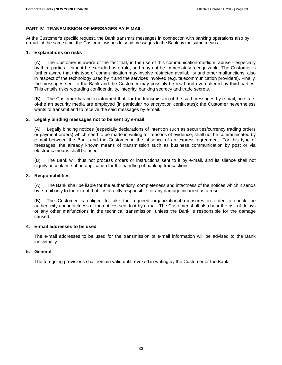# **PART IV. TRANSMISSION OF MESSAGES BY E-MAIL**

At the Customer's specific request, the Bank transmits messages in connection with banking operations also by e-mail; at the same time, the Customer wishes to send messages to the Bank by the same means.

# **1. Explanations on risks**

(A) The Customer is aware of the fact that, in the use of this communication medium, abuse - especially by third parties - cannot be excluded as a rule, and may not be immediately recognizable. The Customer is further aware that this type of communication may involve restricted availability and other malfunctions, also in respect of the technology used by it and the services involved (e.g. telecommunication providers). Finally, the messages sent to the Bank and the Customer may possibly be read and even altered by third parties. This entails risks regarding confidentiality, integrity, banking secrecy and trade secrets.

(B) The Customer has been informed that, for the transmission of the said messages by e-mail, no stateof-the art security media are employed (in particular no encryption certificates); the Customer nevertheless wants to transmit and to receive the said messages by e-mail.

# **2. Legally binding messages not to be sent by e-mail**

(A) Legally binding notices (especially declarations of intention such as securities/currency trading orders or payment orders) which need to be made in writing for reasons of evidence, shall not be communicated by e-mail between the Bank and the Customer in the absence of an express agreement. For this type of messages, the already known means of transmission such as business communication by post or via electronic means shall be used.

The Bank will thus not process orders or instructions sent to it by e-mail, and its silence shall not signify acceptance of an application for the handling of banking transactions.

# **3. Responsibilities**

(A) The Bank shall be liable for the authenticity, completeness and intactness of the notices which it sends by e-mail only to the extent that it is directly responsible for any damage incurred as a result.

The Customer is obliged to take the required organizational measures in order to check the authenticity and intactness of the notices sent to it by e-mail. The Customer shall also bear the risk of delays or any other malfunctions in the technical transmission, unless the Bank is responsible for the damage caused.

#### **4. E-mail addresses to be used**

The e-mail addresses to be used for the transmission of e-mail information will be advised to the Bank individually.

# **5. General**

The foregoing provisions shall remain valid until revoked in writing by the Customer or the Bank.